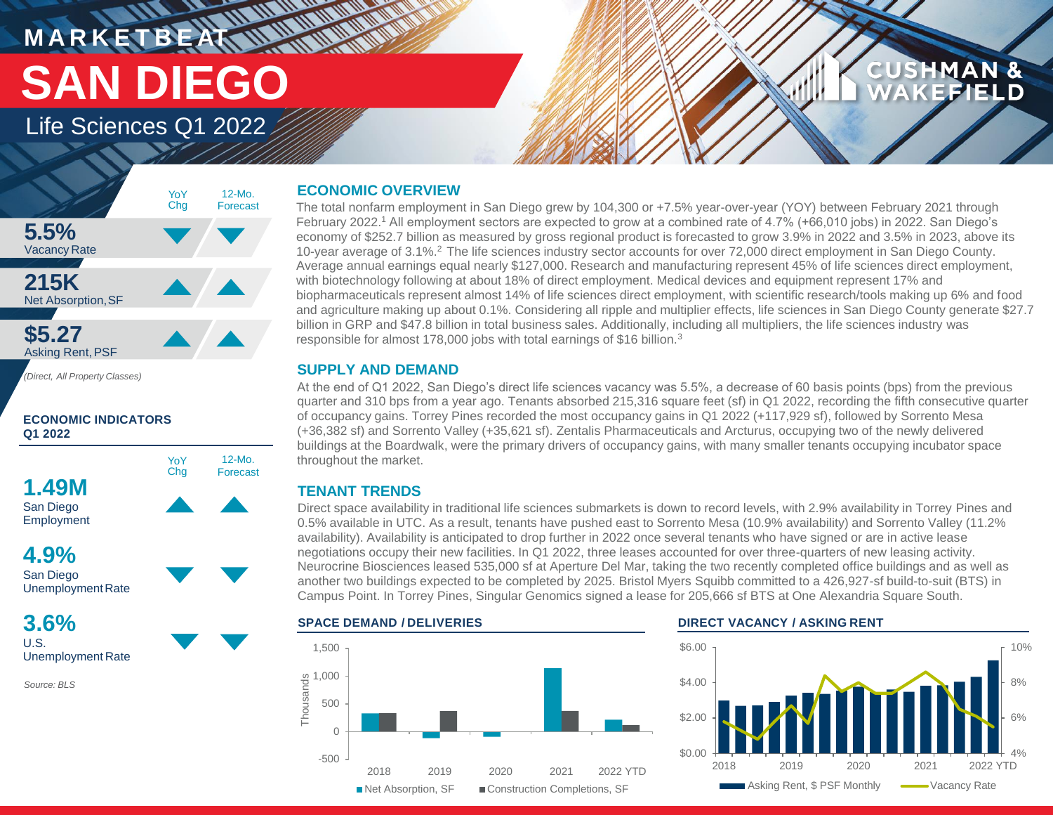# **MARKETBEAT WWW.WWW.** Life Sciences Q1 2022 **SAN DIEGO**

# **CUSHMAN & CEFIELD**



12-Mo. Forecast

*(Direct, All Property Classes)*

**ECONOMIC INDICATORS Q1 2022**





**3.6%** U.S.

Unemployment Rate

*Source: BLS*

# **ECONOMIC OVERVIEW**

The total nonfarm employment in San Diego grew by 104,300 or +7.5% year-over-year (YOY) between February 2021 through February 2022.<sup>1</sup> All employment sectors are expected to grow at a combined rate of 4.7% (+66,010 jobs) in 2022. San Diego's economy of \$252.7 billion as measured by gross regional product is forecasted to grow 3.9% in 2022 and 3.5% in 2023, above its 10-year average of 3.1%.<sup>2</sup>The life sciences industry sector accounts for over 72,000 direct employment in San Diego County. Average annual earnings equal nearly \$127,000. Research and manufacturing represent 45% of life sciences direct employment, with biotechnology following at about 18% of direct employment. Medical devices and equipment represent 17% and biopharmaceuticals represent almost 14% of life sciences direct employment, with scientific research/tools making up 6% and food and agriculture making up about 0.1%. Considering all ripple and multiplier effects, life sciences in San Diego County generate \$27.7 billion in GRP and \$47.8 billion in total business sales. Additionally, including all multipliers, the life sciences industry was responsible for almost 178,000 jobs with total earnings of \$16 billion.<sup>3</sup>

# **SUPPLY AND DEMAND**

At the end of Q1 2022, San Diego's direct life sciences vacancy was 5.5%, a decrease of 60 basis points (bps) from the previous quarter and 310 bps from a year ago. Tenants absorbed 215,316 square feet (sf) in Q1 2022, recording the fifth consecutive quarter of occupancy gains. Torrey Pines recorded the most occupancy gains in Q1 2022 (+117,929 sf), followed by Sorrento Mesa (+36,382 sf) and Sorrento Valley (+35,621 sf). Zentalis Pharmaceuticals and Arcturus, occupying two of the newly delivered buildings at the Boardwalk, were the primary drivers of occupancy gains, with many smaller tenants occupying incubator space throughout the market.

# **TENANT TRENDS**

Direct space availability in traditional life sciences submarkets is down to record levels, with 2.9% availability in Torrey Pines and 0.5% available in UTC. As a result, tenants have pushed east to Sorrento Mesa (10.9% availability) and Sorrento Valley (11.2% availability). Availability is anticipated to drop further in 2022 once several tenants who have signed or are in active lease negotiations occupy their new facilities. In Q1 2022, three leases accounted for over three-quarters of new leasing activity. Neurocrine Biosciences leased 535,000 sf at Aperture Del Mar, taking the two recently completed office buildings and as well as another two buildings expected to be completed by 2025. Bristol Myers Squibb committed to a 426,927-sf build-to-suit (BTS) in Campus Point. In Torrey Pines, Singular Genomics signed a lease for 205,666 sf BTS at One Alexandria Square South.



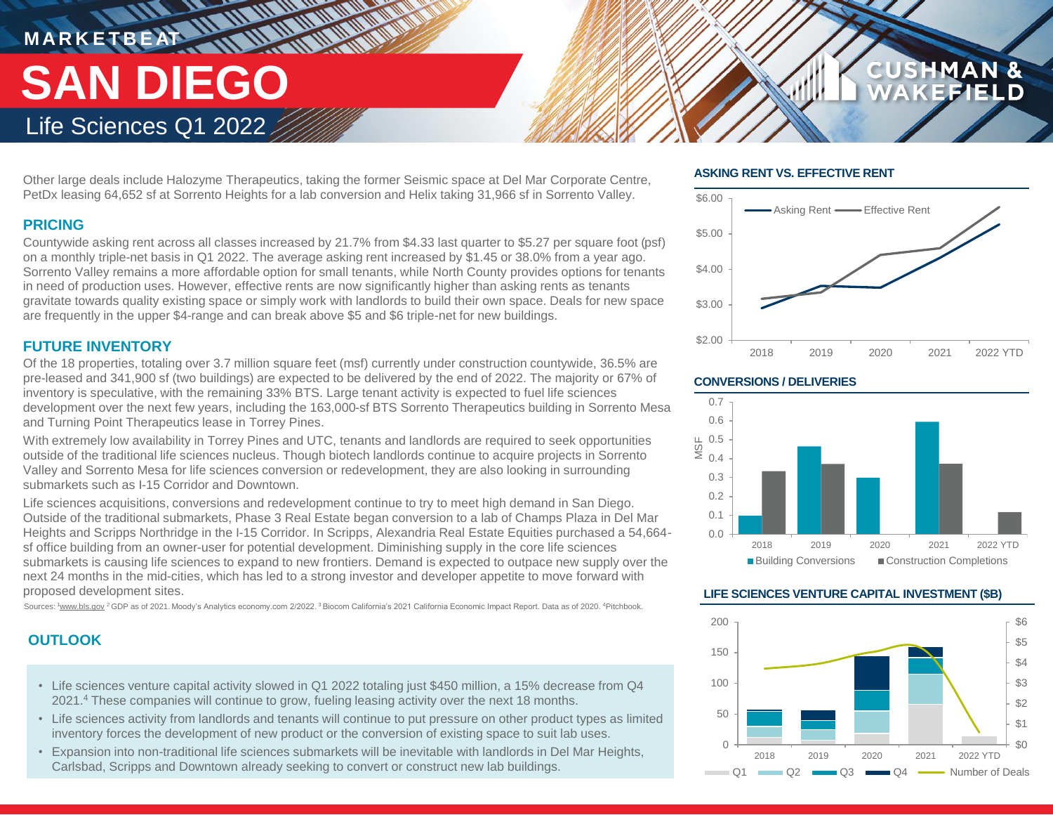# **M A R K E T B E AT** Life Sciences Q1 2022 **SAN DIEGO**

Other large deals include Halozyme Therapeutics, taking the former Seismic space at Del Mar Corporate Centre, PetDx leasing 64,652 sf at Sorrento Heights for a lab conversion and Helix taking 31,966 sf in Sorrento Valley.

# **PRICING**

Countywide asking rent across all classes increased by 21.7% from \$4.33 last quarter to \$5.27 per square foot (psf) on a monthly triple-net basis in Q1 2022. The average asking rent increased by \$1.45 or 38.0% from a year ago. Sorrento Valley remains a more affordable option for small tenants, while North County provides options for tenants in need of production uses. However, effective rents are now significantly higher than asking rents as tenants gravitate towards quality existing space or simply work with landlords to build their own space. Deals for new space are frequently in the upper \$4-range and can break above \$5 and \$6 triple-net for new buildings.

# **FUTURE INVENTORY**

Of the 18 properties, totaling over 3.7 million square feet (msf) currently under construction countywide, 36.5% are pre-leased and 341,900 sf (two buildings) are expected to be delivered by the end of 2022. The majority or 67% of inventory is speculative, with the remaining 33% BTS. Large tenant activity is expected to fuel life sciences development over the next few years, including the 163,000-sf BTS Sorrento Therapeutics building in Sorrento Mesa and Turning Point Therapeutics lease in Torrey Pines.

With extremely low availability in Torrey Pines and UTC, tenants and landlords are required to seek opportunities outside of the traditional life sciences nucleus. Though biotech landlords continue to acquire projects in Sorrento Valley and Sorrento Mesa for life sciences conversion or redevelopment, they are also looking in surrounding submarkets such as I-15 Corridor and Downtown.

Life sciences acquisitions, conversions and redevelopment continue to try to meet high demand in San Diego. Outside of the traditional submarkets, Phase 3 Real Estate began conversion to a lab of Champs Plaza in Del Mar Heights and Scripps Northridge in the I-15 Corridor. In Scripps, Alexandria Real Estate Equities purchased a 54,664 sf office building from an owner-user for potential development. Diminishing supply in the core life sciences submarkets is causing life sciences to expand to new frontiers. Demand is expected to outpace new supply over the next 24 months in the mid-cities, which has led to a strong investor and developer appetite to move forward with proposed development sites.

Sources: 1www.bls.gov <sup>2</sup> GDP as of 2021. Moody's Analytics economy.com 2/2022. <sup>3</sup> Biocom California's 2021 California Economic Impact Report. Data as of 2020. <sup>4</sup>Pitchbook.

# **OUTLOOK**

- Life sciences venture capital activity slowed in Q1 2022 totaling just \$450 million, a 15% decrease from Q4 2021.<sup>4</sup> These companies will continue to grow, fueling leasing activity over the next 18 months.
- Life sciences activity from landlords and tenants will continue to put pressure on other product types as limited inventory forces the development of new product or the conversion of existing space to suit lab uses.
- Expansion into non-traditional life sciences submarkets will be inevitable with landlords in Del Mar Heights, Carlsbad, Scripps and Downtown already seeking to convert or construct new lab buildings.

# **ASKING RENT VS. EFFECTIVE RENT**



**CUSHMAN &** 

## **CONVERSIONS / DELIVERIES**



## **LIFE SCIENCES VENTURE CAPITAL INVESTMENT (\$B)**

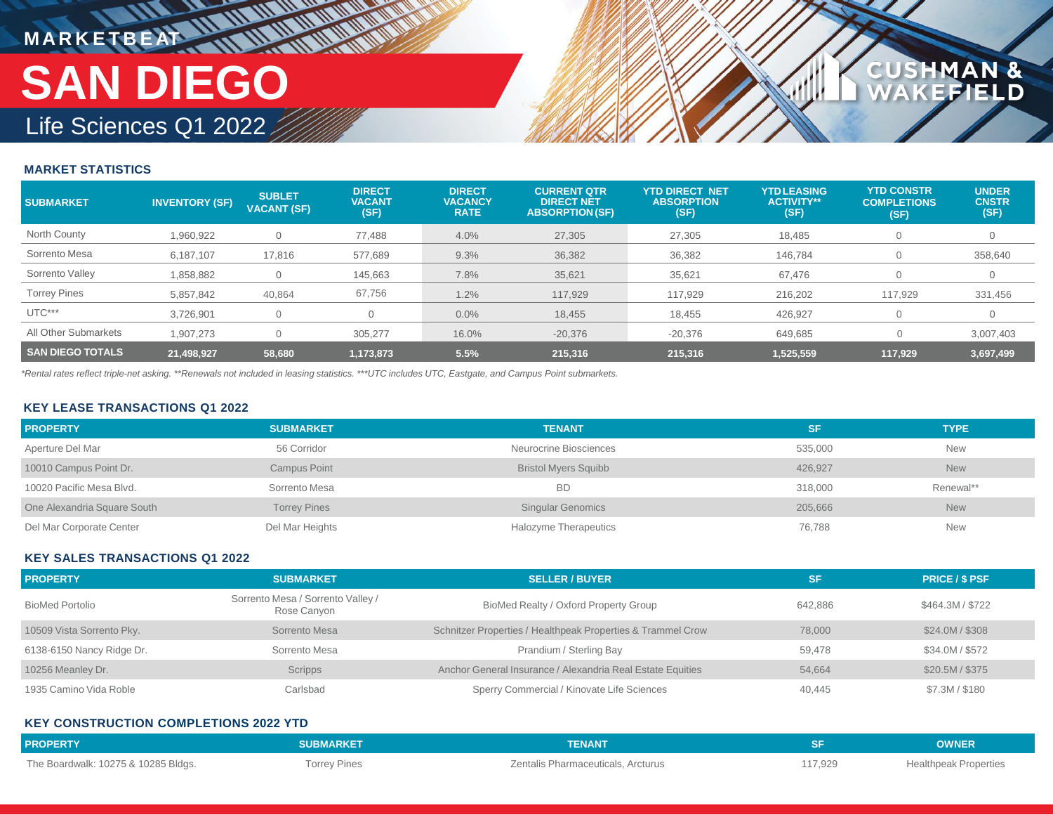# **MARKETBEAT MUNICIPAL** Life Sciences Q1 2022 **SAN DIEGO**

# **MARKET STATISTICS**

| <b>SUBMARKET</b>        | <b>INVENTORY (SF)</b> | <b>SUBLET</b><br><b>VACANT (SF)</b> | <b>DIRECT</b><br><b>VACANT</b><br>(SF) | <b>DIRECT</b><br><b>VACANCY</b><br><b>RATE</b> | <b>CURRENT QTR</b><br><b>DIRECT NET</b><br><b>ABSORPTION (SF)</b> | <b>YTD DIRECT NET</b><br><b>ABSORPTION</b><br>(SF) | <b>YTDLEASING</b><br><b>ACTIVITY**</b><br>(SF) | <b>YTD CONSTR</b><br><b>COMPLETIONS</b><br>(SF) | <b>UNDER</b><br><b>CNSTR</b><br>(SF) |
|-------------------------|-----------------------|-------------------------------------|----------------------------------------|------------------------------------------------|-------------------------------------------------------------------|----------------------------------------------------|------------------------------------------------|-------------------------------------------------|--------------------------------------|
| North County            | 1,960,922             |                                     | 77,488                                 | 4.0%                                           | 27,305                                                            | 27,305                                             | 18,485                                         |                                                 | 0                                    |
| Sorrento Mesa           | 6,187,107             | 17,816                              | 577,689                                | 9.3%                                           | 36,382                                                            | 36,382                                             | 146,784                                        |                                                 | 358,640                              |
| Sorrento Valley         | 1,858,882             |                                     | 145,663                                | 7.8%                                           | 35,621                                                            | 35,621                                             | 67,476                                         |                                                 | 0                                    |
| <b>Torrey Pines</b>     | 5,857,842             | 40,864                              | 67,756                                 | 1.2%                                           | 117,929                                                           | 117.929                                            | 216,202                                        | 117,929                                         | 331,456                              |
| UTC***                  | 3.726.901             |                                     |                                        | 0.0%                                           | 18,455                                                            | 18,455                                             | 426,927                                        | $\Omega$                                        | $\mathbf 0$                          |
| All Other Submarkets    | 1.907.273             |                                     | 305.277                                | 16.0%                                          | $-20,376$                                                         | $-20.376$                                          | 649.685                                        |                                                 | 3,007,403                            |
| <b>SAN DIEGO TOTALS</b> | 21,498,927            | 58,680                              | 1,173,873                              | 5.5%                                           | 215,316                                                           | 215,316                                            | 1,525,559                                      | 117,929                                         | 3,697,499                            |

1AN &<br>FIELD

**CUSHM** 

*\*Rental rates reflect triple-net asking. \*\*Renewals not included in leasing statistics. \*\*\*UTC includes UTC, Eastgate, and Campus Point submarkets.*

## **KEY LEASE TRANSACTIONS Q1 2022**

| <b>PROPERTY</b>             | <b>SUBMARKET</b>    | <b>TENANT</b>                | <b>SF</b> | <b>TYPE</b> |
|-----------------------------|---------------------|------------------------------|-----------|-------------|
| Aperture Del Mar            | 56 Corridor         | Neurocrine Biosciences       | 535,000   | <b>New</b>  |
| 10010 Campus Point Dr.      | Campus Point        | <b>Bristol Myers Squibb</b>  | 426.927   | <b>New</b>  |
| 10020 Pacific Mesa Blvd.    | Sorrento Mesa       | <b>BD</b>                    | 318,000   | Renewal**   |
| One Alexandria Square South | <b>Torrey Pines</b> | <b>Singular Genomics</b>     | 205,666   | <b>New</b>  |
| Del Mar Corporate Center    | Del Mar Heights     | <b>Halozyme Therapeutics</b> | 76,788    | <b>New</b>  |

## **KEY SALES TRANSACTIONS Q1 2022**

| <b>PROPERTY</b>           | <b>SUBMARKET</b>                                 | <b>SELLER / BUYER</b>                                       | <b>SF</b> | <b>PRICE / \$ PSF</b> |
|---------------------------|--------------------------------------------------|-------------------------------------------------------------|-----------|-----------------------|
| <b>BioMed Portolio</b>    | Sorrento Mesa / Sorrento Valley /<br>Rose Canyon | BioMed Realty / Oxford Property Group                       | 642.886   | \$464.3M / \$722      |
| 10509 Vista Sorrento Pky. | Sorrento Mesa                                    | Schnitzer Properties / Healthpeak Properties & Trammel Crow | 78,000    | \$24.0M / \$308       |
| 6138-6150 Nancy Ridge Dr. | Sorrento Mesa                                    | Prandium / Sterling Bay                                     | 59.478    | \$34.0M / \$572       |
| 10256 Meanley Dr.         | <b>Scripps</b>                                   | Anchor General Insurance / Alexandria Real Estate Equities  | 54.664    | \$20.5M / \$375       |
| 1935 Camino Vida Roble    | Carlsbad                                         | Sperry Commercial / Kinovate Life Sciences                  | 40,445    | \$7.3M / \$180        |

## **KEY CONSTRUCTION COMPLETIONS 2022 YTD**

| <b>PROPERTY</b>                     | <b>SUBMARKET</b>    | <b>TENANT</b>                      |         | <b>OWNER</b>                 |
|-------------------------------------|---------------------|------------------------------------|---------|------------------------------|
| The Boardwalk: 10275 & 10285 Bldgs. | <b>Torrey Pines</b> | Zentalis Pharmaceuticals, Arcturus | 117,929 | <b>Healthpeak Properties</b> |